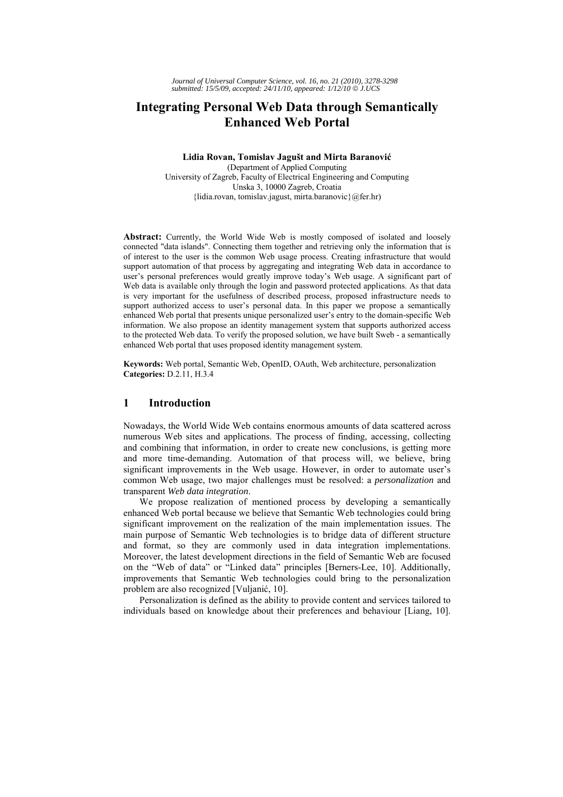# **Integrating Personal Web Data through Semantically Enhanced Web Portal**

**Lidia Rovan, Tomislav Jagušt and Mirta Baranović** (Department of Applied Computing University of Zagreb, Faculty of Electrical Engineering and Computing Unska 3, 10000 Zagreb, Croatia {lidia.rovan, tomislav.jagust, mirta.baranovic}@fer.hr)

**Abstract:** Currently, the World Wide Web is mostly composed of isolated and loosely connected "data islands". Connecting them together and retrieving only the information that is of interest to the user is the common Web usage process. Creating infrastructure that would support automation of that process by aggregating and integrating Web data in accordance to user's personal preferences would greatly improve today's Web usage. A significant part of Web data is available only through the login and password protected applications. As that data is very important for the usefulness of described process, proposed infrastructure needs to support authorized access to user's personal data. In this paper we propose a semantically enhanced Web portal that presents unique personalized user's entry to the domain-specific Web information. We also propose an identity management system that supports authorized access to the protected Web data. To verify the proposed solution, we have built Sweb - a semantically enhanced Web portal that uses proposed identity management system.

**Keywords:** Web portal, Semantic Web, OpenID, OAuth, Web architecture, personalization **Categories:** D.2.11, H.3.4

# **1 Introduction**

Nowadays, the World Wide Web contains enormous amounts of data scattered across numerous Web sites and applications. The process of finding, accessing, collecting and combining that information, in order to create new conclusions, is getting more and more time-demanding. Automation of that process will, we believe, bring significant improvements in the Web usage. However, in order to automate user's common Web usage, two major challenges must be resolved: a *personalization* and transparent *Web data integration*.

We propose realization of mentioned process by developing a semantically enhanced Web portal because we believe that Semantic Web technologies could bring significant improvement on the realization of the main implementation issues. The main purpose of Semantic Web technologies is to bridge data of different structure and format, so they are commonly used in data integration implementations. Moreover, the latest development directions in the field of Semantic Web are focused on the "Web of data" or "Linked data" principles [Berners-Lee, 10]. Additionally, improvements that Semantic Web technologies could bring to the personalization problem are also recognized [Vuljanić, 10].

Personalization is defined as the ability to provide content and services tailored to individuals based on knowledge about their preferences and behaviour [Liang, 10].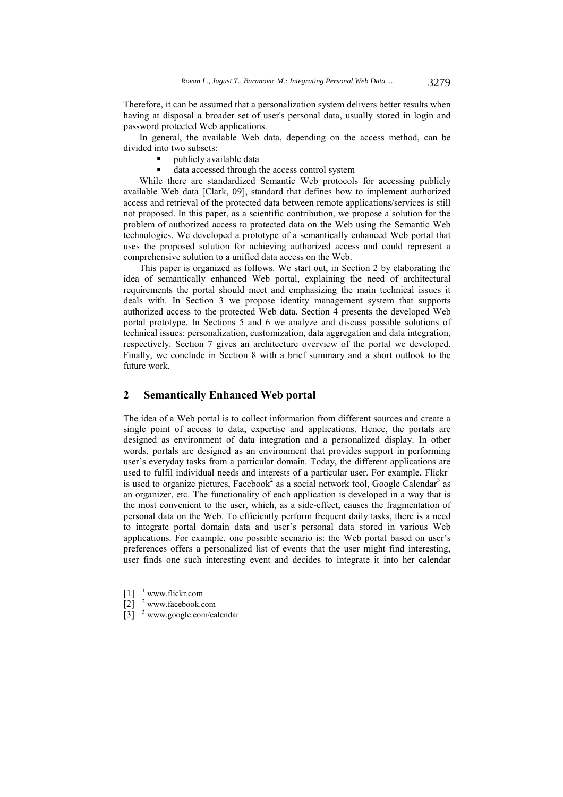Therefore, it can be assumed that a personalization system delivers better results when having at disposal a broader set of user's personal data, usually stored in login and password protected Web applications.

In general, the available Web data, depending on the access method, can be divided into two subsets:

- **•** publicly available data
- data accessed through the access control system

While there are standardized Semantic Web protocols for accessing publicly available Web data [Clark, 09], standard that defines how to implement authorized access and retrieval of the protected data between remote applications/services is still not proposed. In this paper, as a scientific contribution, we propose a solution for the problem of authorized access to protected data on the Web using the Semantic Web technologies. We developed a prototype of a semantically enhanced Web portal that uses the proposed solution for achieving authorized access and could represent a comprehensive solution to a unified data access on the Web.

This paper is organized as follows. We start out, in Section 2 by elaborating the idea of semantically enhanced Web portal, explaining the need of architectural requirements the portal should meet and emphasizing the main technical issues it deals with. In Section 3 we propose identity management system that supports authorized access to the protected Web data. Section 4 presents the developed Web portal prototype. In Sections 5 and 6 we analyze and discuss possible solutions of technical issues: personalization, customization, data aggregation and data integration, respectively. Section 7 gives an architecture overview of the portal we developed. Finally, we conclude in Section 8 with a brief summary and a short outlook to the future work.

# **2 Semantically Enhanced Web portal**

The idea of a Web portal is to collect information from different sources and create a single point of access to data, expertise and applications. Hence, the portals are designed as environment of data integration and a personalized display. In other words, portals are designed as an environment that provides support in performing user's everyday tasks from a particular domain. Today, the different applications are used to fulfil individual needs and interests of a particular user. For example,  $Flick<sup>1</sup>$ is used to organize pictures, Facebook<sup>2</sup> as a social network tool, Google Calendar<sup>3</sup> as an organizer, etc. The functionality of each application is developed in a way that is the most convenient to the user, which, as a side-effect, causes the fragmentation of personal data on the Web. To efficiently perform frequent daily tasks, there is a need to integrate portal domain data and user's personal data stored in various Web applications. For example, one possible scenario is: the Web portal based on user's preferences offers a personalized list of events that the user might find interesting, user finds one such interesting event and decides to integrate it into her calendar

 $[1]$ <sup>1</sup> www.flickr.com

<sup>[2] &</sup>lt;sup>2</sup> www.facebook.com

 $[3]$ <sup>3</sup> www.google.com/calendar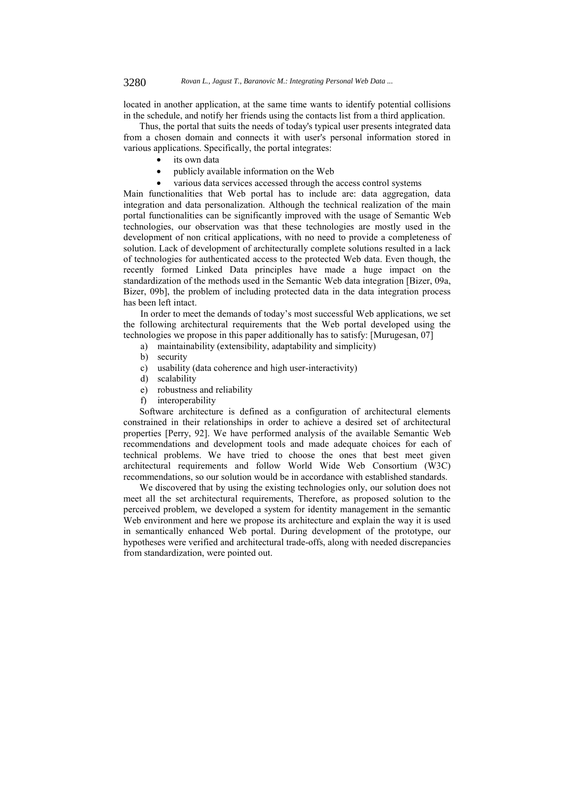located in another application, at the same time wants to identify potential collisions in the schedule, and notify her friends using the contacts list from a third application.

Thus, the portal that suits the needs of today's typical user presents integrated data from a chosen domain and connects it with user's personal information stored in various applications. Specifically, the portal integrates:

- its own data
- publicly available information on the Web
- various data services accessed through the access control systems

Main functionalities that Web portal has to include are: data aggregation, data integration and data personalization. Although the technical realization of the main portal functionalities can be significantly improved with the usage of Semantic Web technologies, our observation was that these technologies are mostly used in the development of non critical applications, with no need to provide a completeness of solution. Lack of development of architecturally complete solutions resulted in a lack of technologies for authenticated access to the protected Web data. Even though, the recently formed Linked Data principles have made a huge impact on the standardization of the methods used in the Semantic Web data integration [Bizer, 09a, Bizer, 09b], the problem of including protected data in the data integration process has been left intact.

In order to meet the demands of today's most successful Web applications, we set the following architectural requirements that the Web portal developed using the technologies we propose in this paper additionally has to satisfy: [Murugesan, 07]

- a) maintainability (extensibility, adaptability and simplicity)
- b) security
- c) usability (data coherence and high user-interactivity)
- d) scalability
- e) robustness and reliability
- f) interoperability

Software architecture is defined as a configuration of architectural elements constrained in their relationships in order to achieve a desired set of architectural properties [Perry, 92]. We have performed analysis of the available Semantic Web recommendations and development tools and made adequate choices for each of technical problems. We have tried to choose the ones that best meet given architectural requirements and follow World Wide Web Consortium (W3C) recommendations, so our solution would be in accordance with established standards.

We discovered that by using the existing technologies only, our solution does not meet all the set architectural requirements, Therefore, as proposed solution to the perceived problem, we developed a system for identity management in the semantic Web environment and here we propose its architecture and explain the way it is used in semantically enhanced Web portal. During development of the prototype, our hypotheses were verified and architectural trade-offs, along with needed discrepancies from standardization, were pointed out.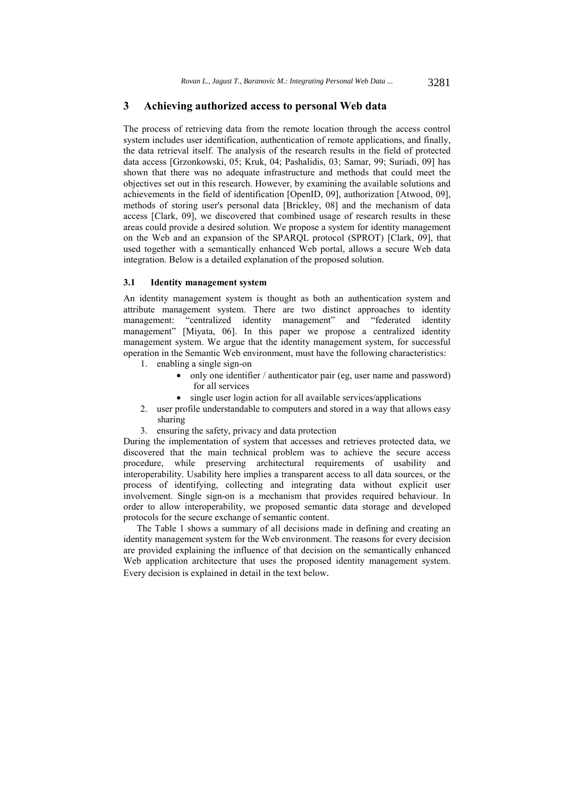### **3 Achieving authorized access to personal Web data**

The process of retrieving data from the remote location through the access control system includes user identification, authentication of remote applications, and finally, the data retrieval itself. The analysis of the research results in the field of protected data access [Grzonkowski, 05; Kruk, 04; Pashalidis, 03; Samar, 99; Suriadi, 09] has shown that there was no adequate infrastructure and methods that could meet the objectives set out in this research. However, by examining the available solutions and achievements in the field of identification [OpenID, 09], authorization [Atwood, 09], methods of storing user's personal data [Brickley, 08] and the mechanism of data access [Clark, 09], we discovered that combined usage of research results in these areas could provide a desired solution. We propose a system for identity management on the Web and an expansion of the SPARQL protocol (SPROT) [Clark, 09], that used together with a semantically enhanced Web portal, allows a secure Web data integration. Below is a detailed explanation of the proposed solution.

#### **3.1 Identity management system**

An identity management system is thought as both an authentication system and attribute management system. There are two distinct approaches to identity management: "centralized identity management" and "federated identity management" [Miyata, 06]. In this paper we propose a centralized identity management system. We argue that the identity management system, for successful operation in the Semantic Web environment, must have the following characteristics:

- 1. enabling a single sign-on
	- only one identifier / authenticator pair (eg, user name and password) for all services
	- single user login action for all available services/applications
- 2. user profile understandable to computers and stored in a way that allows easy sharing
- 3. ensuring the safety, privacy and data protection

During the implementation of system that accesses and retrieves protected data, we discovered that the main technical problem was to achieve the secure access procedure, while preserving architectural requirements of usability and interoperability. Usability here implies a transparent access to all data sources, or the process of identifying, collecting and integrating data without explicit user involvement. Single sign-on is a mechanism that provides required behaviour. In order to allow interoperability, we proposed semantic data storage and developed protocols for the secure exchange of semantic content.

The Table 1 shows a summary of all decisions made in defining and creating an identity management system for the Web environment. The reasons for every decision are provided explaining the influence of that decision on the semantically enhanced Web application architecture that uses the proposed identity management system. Every decision is explained in detail in the text below.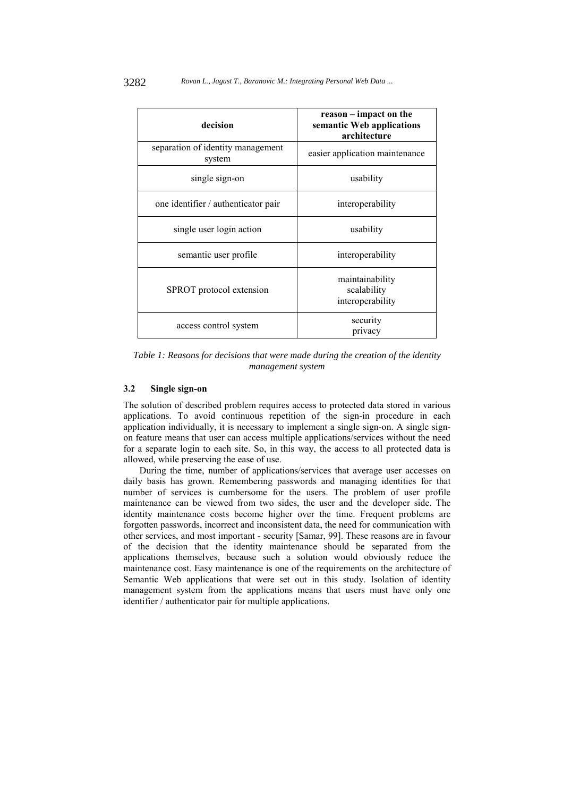| decision                                    | reason – impact on the<br>semantic Web applications<br>architecture |  |  |
|---------------------------------------------|---------------------------------------------------------------------|--|--|
| separation of identity management<br>system | easier application maintenance                                      |  |  |
| single sign-on                              | usability                                                           |  |  |
| one identifier / authenticator pair         | interoperability                                                    |  |  |
| single user login action                    | usability                                                           |  |  |
| semantic user profile                       | interoperability                                                    |  |  |
| SPROT protocol extension                    | maintainability<br>scalability<br>interoperability                  |  |  |
| access control system                       | security<br>privacy                                                 |  |  |

*Table 1: Reasons for decisions that were made during the creation of the identity management system* 

#### **3.2 Single sign-on**

The solution of described problem requires access to protected data stored in various applications. To avoid continuous repetition of the sign-in procedure in each application individually, it is necessary to implement a single sign-on. A single signon feature means that user can access multiple applications/services without the need for a separate login to each site. So, in this way, the access to all protected data is allowed, while preserving the ease of use.

During the time, number of applications/services that average user accesses on daily basis has grown. Remembering passwords and managing identities for that number of services is cumbersome for the users. The problem of user profile maintenance can be viewed from two sides, the user and the developer side. The identity maintenance costs become higher over the time. Frequent problems are forgotten passwords, incorrect and inconsistent data, the need for communication with other services, and most important - security [Samar, 99]. These reasons are in favour of the decision that the identity maintenance should be separated from the applications themselves, because such a solution would obviously reduce the maintenance cost. Easy maintenance is one of the requirements on the architecture of Semantic Web applications that were set out in this study. Isolation of identity management system from the applications means that users must have only one identifier / authenticator pair for multiple applications.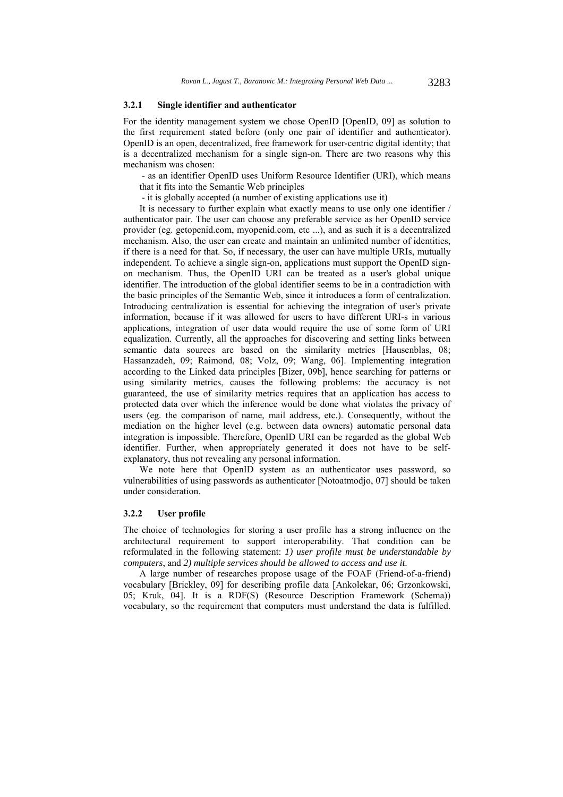#### **3.2.1 Single identifier and authenticator**

For the identity management system we chose OpenID [OpenID, 09] as solution to the first requirement stated before (only one pair of identifier and authenticator). OpenID is an open, decentralized, free framework for user-centric digital identity; that is a decentralized mechanism for a single sign-on. There are two reasons why this mechanism was chosen:

 - as an identifier OpenID uses Uniform Resource Identifier (URI), which means that it fits into the Semantic Web principles

- it is globally accepted (a number of existing applications use it)

It is necessary to further explain what exactly means to use only one identifier / authenticator pair. The user can choose any preferable service as her OpenID service provider (eg. getopenid.com, myopenid.com, etc ...), and as such it is a decentralized mechanism. Also, the user can create and maintain an unlimited number of identities, if there is a need for that. So, if necessary, the user can have multiple URIs, mutually independent. To achieve a single sign-on, applications must support the OpenID signon mechanism. Thus, the OpenID URI can be treated as a user's global unique identifier. The introduction of the global identifier seems to be in a contradiction with the basic principles of the Semantic Web, since it introduces a form of centralization. Introducing centralization is essential for achieving the integration of user's private information, because if it was allowed for users to have different URI-s in various applications, integration of user data would require the use of some form of URI equalization. Currently, all the approaches for discovering and setting links between semantic data sources are based on the similarity metrics [Hausenblas, 08; Hassanzadeh, 09; Raimond, 08; Volz, 09; Wang, 06]. Implementing integration according to the Linked data principles [Bizer, 09b], hence searching for patterns or using similarity metrics, causes the following problems: the accuracy is not guaranteed, the use of similarity metrics requires that an application has access to protected data over which the inference would be done what violates the privacy of users (eg. the comparison of name, mail address, etc.). Consequently, without the mediation on the higher level (e.g. between data owners) automatic personal data integration is impossible. Therefore, OpenID URI can be regarded as the global Web identifier. Further, when appropriately generated it does not have to be selfexplanatory, thus not revealing any personal information.

We note here that OpenID system as an authenticator uses password, so vulnerabilities of using passwords as authenticator [Notoatmodjo, 07] should be taken under consideration.

#### **3.2.2 User profile**

The choice of technologies for storing a user profile has a strong influence on the architectural requirement to support interoperability. That condition can be reformulated in the following statement: *1) user profile must be understandable by computers*, and *2) multiple services should be allowed to access and use it*.

A large number of researches propose usage of the FOAF (Friend-of-a-friend) vocabulary [Brickley, 09] for describing profile data [Ankolekar, 06; Grzonkowski, 05; Kruk, 04]. It is a RDF(S) (Resource Description Framework (Schema)) vocabulary, so the requirement that computers must understand the data is fulfilled.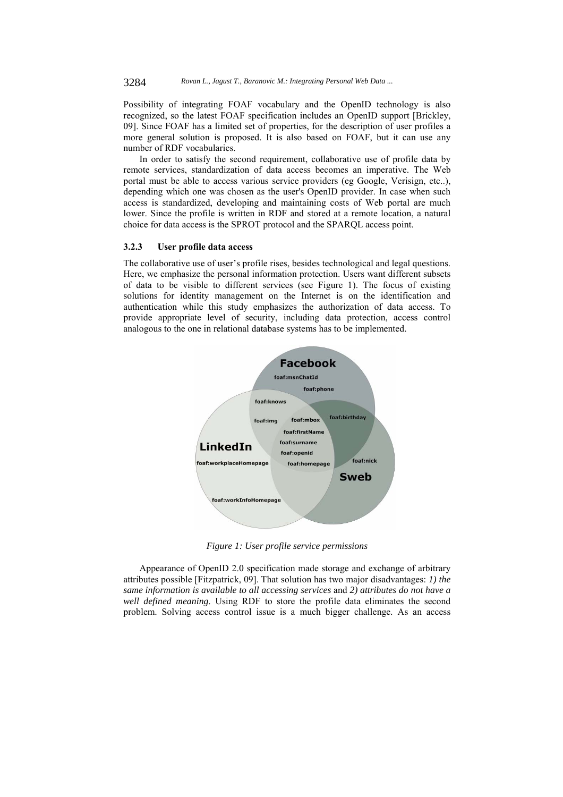Possibility of integrating FOAF vocabulary and the OpenID technology is also recognized, so the latest FOAF specification includes an OpenID support [Brickley, 09]. Since FOAF has a limited set of properties, for the description of user profiles a more general solution is proposed. It is also based on FOAF, but it can use any number of RDF vocabularies.

In order to satisfy the second requirement, collaborative use of profile data by remote services, standardization of data access becomes an imperative. The Web portal must be able to access various service providers (eg Google, Verisign, etc..), depending which one was chosen as the user's OpenID provider. In case when such access is standardized, developing and maintaining costs of Web portal are much lower. Since the profile is written in RDF and stored at a remote location, a natural choice for data access is the SPROT protocol and the SPARQL access point.

#### **3.2.3 User profile data access**

The collaborative use of user's profile rises, besides technological and legal questions. Here, we emphasize the personal information protection. Users want different subsets of data to be visible to different services (see Figure 1). The focus of existing solutions for identity management on the Internet is on the identification and authentication while this study emphasizes the authorization of data access. To provide appropriate level of security, including data protection, access control analogous to the one in relational database systems has to be implemented.



*Figure 1: User profile service permissions* 

Appearance of OpenID 2.0 specification made storage and exchange of arbitrary attributes possible [Fitzpatrick, 09]. That solution has two major disadvantages: *1) the same information is available to all accessing services* and *2) attributes do not have a well defined meaning*. Using RDF to store the profile data eliminates the second problem. Solving access control issue is a much bigger challenge. As an access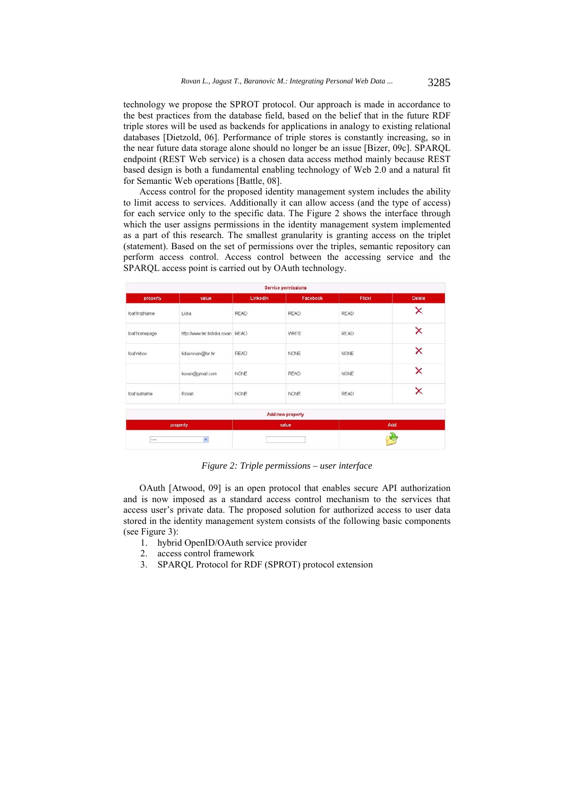technology we propose the SPROT protocol. Our approach is made in accordance to the best practices from the database field, based on the belief that in the future RDF triple stores will be used as backends for applications in analogy to existing relational databases [Dietzold, 06]. Performance of triple stores is constantly increasing, so in the near future data storage alone should no longer be an issue [Bizer, 09c]. SPARQL endpoint (REST Web service) is a chosen data access method mainly because REST based design is both a fundamental enabling technology of Web 2.0 and a natural fit for Semantic Web operations [Battle, 08].

Access control for the proposed identity management system includes the ability to limit access to services. Additionally it can allow access (and the type of access) for each service only to the specific data. The Figure 2 shows the interface through which the user assigns permissions in the identity management system implemented as a part of this research. The smallest granularity is granting access on the triplet (statement). Based on the set of permissions over the triples, semantic repository can perform access control. Access control between the accessing service and the SPARQL access point is carried out by OAuth technology.

| <b>Service permissions</b> |                                    |          |                  |               |               |  |
|----------------------------|------------------------------------|----------|------------------|---------------|---------------|--|
| property                   | value                              | Linkedin | Facebook         | <b>Flickr</b> | <b>Delete</b> |  |
| foat firstName             | Lidia                              | READ     | <b>READ</b>      | <b>READ</b>   | ×             |  |
| foaf.homepage              | http://www.fer.hr/lidia.rovan READ |          | WRITE            | <b>READ</b>   | ×             |  |
| foaf.mbox                  | lidia.rovan@fer.hr                 | READ     | <b>NONE</b>      | <b>NONE</b>   | ×             |  |
|                            | Irovan@gmail.com                   | NONE     | <b>READ</b>      | <b>NONE</b>   | ×             |  |
| foat sumame                | Rovan                              | NONE     | NONE             | <b>READ</b>   | ×             |  |
|                            |                                    |          | Add new property |               |               |  |
| property                   |                                    | value    |                  | Add           |               |  |
| v.<br>                     |                                    |          |                  |               |               |  |

*Figure 2: Triple permissions – user interface* 

OAuth [Atwood, 09] is an open protocol that enables secure API authorization and is now imposed as a standard access control mechanism to the services that access user's private data. The proposed solution for authorized access to user data stored in the identity management system consists of the following basic components (see Figure 3):

- 1. hybrid OpenID/OAuth service provider
- 2. access control framework
- 3. SPARQL Protocol for RDF (SPROT) protocol extension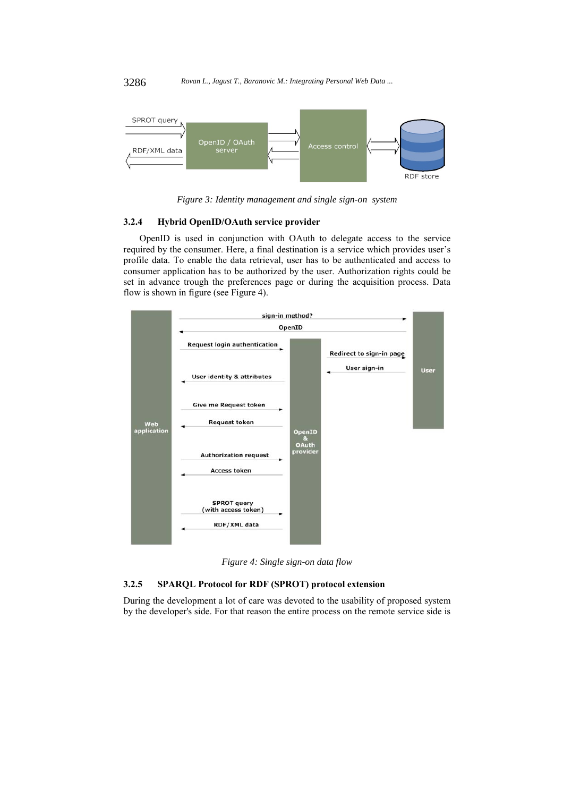

*Figure 3: Identity management and single sign-on system* 

### **3.2.4 Hybrid OpenID/OAuth service provider**

OpenID is used in conjunction with OAuth to delegate access to the service required by the consumer. Here, a final destination is a service which provides user's profile data. To enable the data retrieval, user has to be authenticated and access to consumer application has to be authorized by the user. Authorization rights could be set in advance trough the preferences page or during the acquisition process. Data flow is shown in figure (see Figure 4).



*Figure 4: Single sign-on data flow* 

### **3.2.5 SPARQL Protocol for RDF (SPROT) protocol extension**

During the development a lot of care was devoted to the usability of proposed system by the developer's side. For that reason the entire process on the remote service side is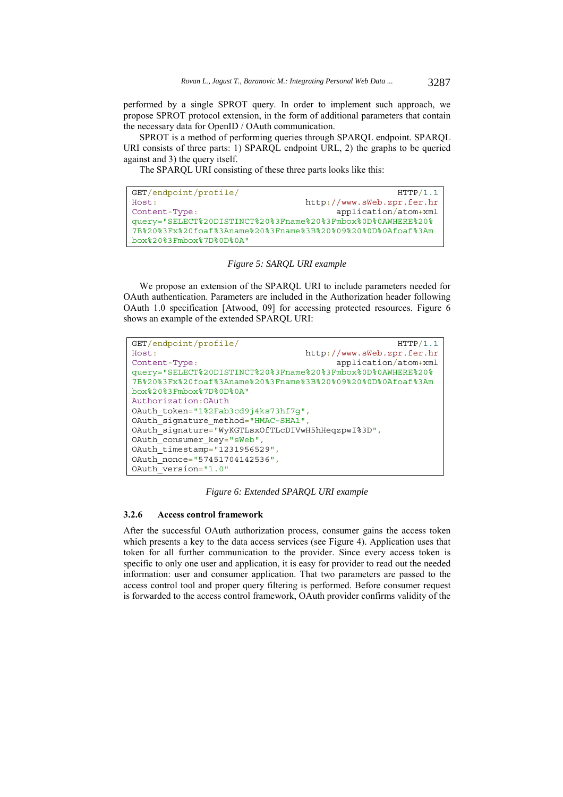performed by a single SPROT query. In order to implement such approach, we propose SPROT protocol extension, in the form of additional parameters that contain the necessary data for OpenID / OAuth communication.

SPROT is a method of performing queries through SPARQL endpoint. SPARQL URI consists of three parts: 1) SPARQL endpoint URL, 2) the graphs to be queried against and 3) the query itself.

The SPARQL URI consisting of these three parts looks like this:

```
GET/endpoint/profile/ HTTP/1.1
Host: http://www.sWeb.zpr.fer.hr
Content-Type: application/atom+xml 
query="SELECT%20DISTINCT%20%3Fname%20%3Fmbox%0D%0AWHERE%20%
7B%20%3Fx%20foaf%3Aname%20%3Fname%3B%20%09%20%0D%0Afoaf%3Am
box%20%3Fmbox%7D%0D%0A"
```
*Figure 5: SARQL URI example*

We propose an extension of the SPARQL URI to include parameters needed for OAuth authentication. Parameters are included in the Authorization header following OAuth 1.0 specification [Atwood, 09] for accessing protected resources. Figure 6 shows an example of the extended SPARQL URI:

```
GET/endpoint/profile/ HTTP/1.1
Host: http://www.sWeb.zpr.fer.hr
Content-Type: application/atom+xml 
query="SELECT%20DISTINCT%20%3Fname%20%3Fmbox%0D%0AWHERE%20%
7B%20%3Fx%20foaf%3Aname%20%3Fname%3B%20%09%20%0D%0Afoaf%3Am
box%20%3Fmbox%7D%0D%0A"
Authorization:OAuth
OAuth_token="1%2Fab3cd9j4ks73hf7q",
OAuth_signature_method="HMAC-SHA1",
OAuth_signature="WyKGTLsxOfTLcDIVwH5hHeqzpwI%3D",
OAuth_consumer_key="sWeb",
OAuth_timestamp="1231956529",
OAuth_nonce="57451704142536",
OAuth version="1.0"
```
*Figure 6: Extended SPARQL URI example* 

#### **3.2.6 Access control framework**

After the successful OAuth authorization process, consumer gains the access token which presents a key to the data access services (see Figure 4). Application uses that token for all further communication to the provider. Since every access token is specific to only one user and application, it is easy for provider to read out the needed information: user and consumer application. That two parameters are passed to the access control tool and proper query filtering is performed. Before consumer request is forwarded to the access control framework, OAuth provider confirms validity of the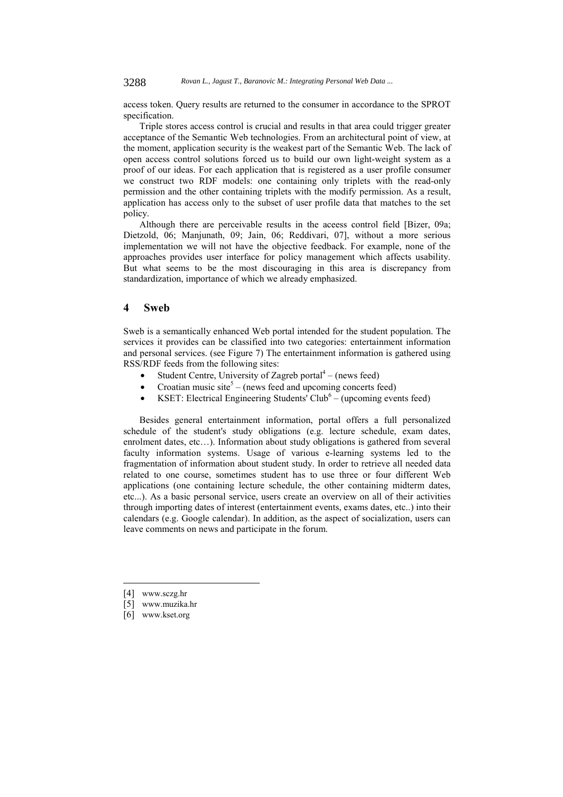access token. Query results are returned to the consumer in accordance to the SPROT specification.

Triple stores access control is crucial and results in that area could trigger greater acceptance of the Semantic Web technologies. From an architectural point of view, at the moment, application security is the weakest part of the Semantic Web. The lack of open access control solutions forced us to build our own light-weight system as a proof of our ideas. For each application that is registered as a user profile consumer we construct two RDF models: one containing only triplets with the read-only permission and the other containing triplets with the modify permission. As a result, application has access only to the subset of user profile data that matches to the set policy.

Although there are perceivable results in the aceess control field [Bizer, 09a; Dietzold, 06; Manjunath, 09; Jain, 06; Reddivari, 07], without a more serious implementation we will not have the objective feedback. For example, none of the approaches provides user interface for policy management which affects usability. But what seems to be the most discouraging in this area is discrepancy from standardization, importance of which we already emphasized.

#### **4 Sweb**

Sweb is a semantically enhanced Web portal intended for the student population. The services it provides can be classified into two categories: entertainment information and personal services. (see Figure 7) The entertainment information is gathered using RSS/RDF feeds from the following sites:

- Student Centre, University of Zagreb portal $4 -$ (news feed)
- Croatian music site<sup>5</sup> (news feed and upcoming concerts feed)
- KSET: Electrical Engineering Students' Club<sup>6</sup> (upcoming events feed)

Besides general entertainment information, portal offers a full personalized schedule of the student's study obligations (e.g. lecture schedule, exam dates, enrolment dates, etc…). Information about study obligations is gathered from several faculty information systems. Usage of various e-learning systems led to the fragmentation of information about student study. In order to retrieve all needed data related to one course, sometimes student has to use three or four different Web applications (one containing lecture schedule, the other containing midterm dates, etc...). As a basic personal service, users create an overview on all of their activities through importing dates of interest (entertainment events, exams dates, etc..) into their calendars (e.g. Google calendar). In addition, as the aspect of socialization, users can leave comments on news and participate in the forum.

[4] www.sczg.hr

- [5] www.muzika.hr
- [6] www.kset.org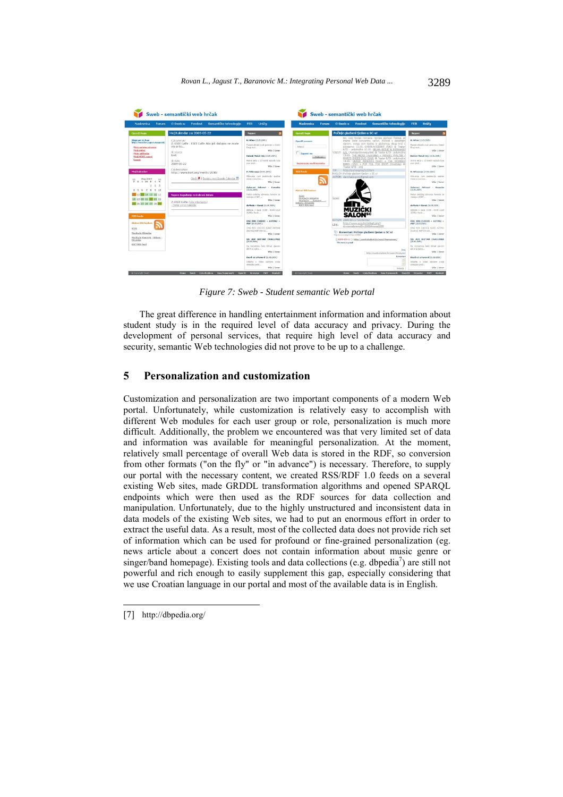| <b>Naslovnica</b><br>Forum                                                                                                                                                      | Semantičke tehnologije<br>O Sweb-u<br>Feedovi                                                                                                                                                         | <b>FER</b><br><b>UniZa</b>                                                                                                                                                                                                                                                                                                                            | <b>Naslovnica</b><br>Forum                                                                                              | Semantičke tehnologije<br>O Sweb-u<br>Feedovi                                                                                                                                                                                                                                                                                                                                                                                                                                                                                                                                                                                                 | <b>FER</b><br><b>UniZa</b>                                                                                                                                                                                                                                                                           |
|---------------------------------------------------------------------------------------------------------------------------------------------------------------------------------|-------------------------------------------------------------------------------------------------------------------------------------------------------------------------------------------------------|-------------------------------------------------------------------------------------------------------------------------------------------------------------------------------------------------------------------------------------------------------------------------------------------------------------------------------------------------------|-------------------------------------------------------------------------------------------------------------------------|-----------------------------------------------------------------------------------------------------------------------------------------------------------------------------------------------------------------------------------------------------------------------------------------------------------------------------------------------------------------------------------------------------------------------------------------------------------------------------------------------------------------------------------------------------------------------------------------------------------------------------------------------|------------------------------------------------------------------------------------------------------------------------------------------------------------------------------------------------------------------------------------------------------------------------------------------------------|
| <b>OpenID</b> login                                                                                                                                                             | Moj Kalendar za: 2009-05-22                                                                                                                                                                           | <b>Najave</b>                                                                                                                                                                                                                                                                                                                                         | OpenID login                                                                                                            | Počinje glazbeni tjedan u SC-u!                                                                                                                                                                                                                                                                                                                                                                                                                                                                                                                                                                                                               | Najave                                                                                                                                                                                                                                                                                               |
| Ulegirani ste kaos<br>http://temiclay.jagust.newpoonid.<br>Mesa potetna stranica<br>Meii podaci<br>Meje aplikacije<br><b>Mell MOAT tagevi</b><br>Logaut<br>Moj kalendar:        | if also immary<br>2: KSET Caffe : KSET Caffe Ako Još slučajno ne znate<br>sto le to<br>desource<br><b>kset</b><br>deviate<br>2009-05-22<br><b>Calidesgription</b><br>http://www.kset.org/events/2030/ | K) Afion (13.05.2003.)<br>OpenID account:<br>Pomati afionski zvok ponovno u Kratul<br>http://<br>Drug mail<br>Viče   Izvor<br>Zapandi me<br>Detroit Metal City (14.05.2003.)<br>Prilerati<br>Anime pertia u 12 loratich epipoda kota<br>Registracija novih korisnika<br>prati diab-<br>Više   Izvor<br><b>RSS feeds</b><br>K: Wilovanie (14.05.2005.) |                                                                                                                         | Ne, oval tiedan nemamo niedan glazbeni festival, ali<br>imamo četiri koncertne većeri. Počevši s današnim<br>danom, ovoga vam tjedna iz glazbenog izloga broj 1<br>izdvalamo: 11.05. CHEER-ACCIDENT (SAD) @ Teatar<br>&TD - polskružna 12.05, BELMA BEŠLIĆ & BERNHARD<br>VIJEST: GAL (Austria/Slovenia/BH) @ Teatar &TD - polukružna<br>13.05. THE NECKS (Australia) + WEASEL WALTER<br>MARCO ENEIDI DUO (SAD) @ Teatar &TD - polukružna<br>14.05. GRAND ARCHIVES (SAD) + THE WOODEN<br>BIRDS (SAD) + POP TILL YOU DROP! (Hrvatska) @<br>Teatar &TD - atri<br>http://purl.org/rss/1.0/item<br>TIP:<br>NASLOV: Počinje glazbeni tjedan u SC-ul | K: Afron (13.05.2009.)<br>Poznati afionski zvuk ponovno u Kestuf<br>Drugi grad<br>Wile   Izvor<br>Detroit Hetal City (14.05.2009.)<br>Anima seria u 12 kratkih epizoda koja<br>prati plazb<br>Wše   Izvor<br>K: Wilovanie (14.05.2009.)                                                              |
| May 2009<br>$\geq$<br>$\leq$<br><b>PUSARESN</b><br>2 <sup>3</sup><br>4 5 6 7 8 2 10<br>ET 12 13 14 15 16 17<br>18 19 20 21 22 23 24<br>25 26 27 28 29 30 31<br><b>DSS feeds</b> | Chris X   Dodaj u moj Google Calendar B<br>Najave događanja za izabrani datum<br>2: KSET Caffe (Više informacija)<br>- Dodat u mot kalendar                                                           | télevatós van predstavlja spektar<br>metal profes form<br>Vile   Izvor<br>Zaboravi Stihove! - Karaoke<br>(1980), 2022(1)<br>Nakon podužen bhivanta, karacke te<br>vračaju u KSET<br>Viie   Izvor<br>deMode + Xerak (16.15.2019.)<br>Astroda + Bank 22.00 - 03.00 Unad<br>25/45hm Karak<br>Vile   Izvor                                                | Aktivni RSS feedovi:<br><b>SCZG</b><br>Hurika.hr Aktualno<br>Hurika,hr Koncerti -<br>Uskoro - Hrvatska<br>KSET RSS feed | AUTOR: davorkabegovic@gmail.com<br>SLBG-<br><b>MÜZIČKI</b>                                                                                                                                                                                                                                                                                                                                                                                                                                                                                                                                                                                    | Wiovanie vam predstavlja spektar<br>metal zvoka kroz<br>Wile   Izvor<br>Zaboravi Stihove! - Karaoko<br>(15.05.2009.)<br>Nakon podužeg izbivanta, karaoke se<br>vradatu u KSET<br>Više   Izvor<br>deMode + Xerak (16.05.2009.)<br>deMode + Yarak 22.00 - 03:00 Lisad<br>25/45km Xerak<br>Wile   Izvor |
| <b>Aktivni RSS foodevi:</b><br><b>SC2G</b><br>Muzika.hr Aktualso<br>Muzika.hr Kencerti - Uskara -<br>Heyateks<br><b>KSET RSS feed</b>                                           |                                                                                                                                                                                                       | ONE WIN CHOICE + ASTPAI +<br>ABF (10.05.2019.)<br>ONE WIN CHOICE (SAD) ASTRAI<br>(Austria) ABF (Hyger<br>Vite   Irvor<br><b>VS: AIR GUITAR CHALLENGE</b><br>(20.05.2009.)<br>Na koncertina često klimal glavom<br>dok ti ja jadna                                                                                                                     |                                                                                                                         | DATUM: 2009-05-11T11:59:51Z<br>http://www.sczg.hr/default.php?<br>L'INC:<br>d=news8newsID=2089#news2089<br>Komentari: Počinje glazbeni tjedan u SC-u!<br>http://www.aczo.hr/news/2089/<br>[2009-05-11]: http://sweb.student.hr/user/Anonymous/<br>This news is great!                                                                                                                                                                                                                                                                                                                                                                         | ONE WIN CHOICE + ASTPAI +<br>ABF (18.05.2009.)<br>ONE WIN CHOICE (SAD) ASTPAI<br>(Austria) ARF (Hryste<br>View   Inver<br><b>VS: AIR GUITAR CHALLENGE</b><br>(20.05, 2009.)<br>Na koncertina često klimaš glavom<br>dok ti te tedna                                                                  |
|                                                                                                                                                                                 |                                                                                                                                                                                                       | Vije   Izvor<br>Death at a Feneral (21.05.2003.)<br>Islindia c Video selezioni pente<br>obitalishe probl<br>Viče   Izvor                                                                                                                                                                                                                              |                                                                                                                         | Tesar<br>http://cweb.student.hr/user/Anonymo<br>Knewerbarn<br>Pošalji                                                                                                                                                                                                                                                                                                                                                                                                                                                                                                                                                                         | Wše   Izvor<br>Death at a Funeral (21.05.2009.)<br>Izliačte s Video sekcijom svoje<br>chitaliska probl<br>Wile   Invor                                                                                                                                                                               |

*Figure 7: Sweb - Student semantic Web portal* 

The great difference in handling entertainment information and information about student study is in the required level of data accuracy and privacy. During the development of personal services, that require high level of data accuracy and security, semantic Web technologies did not prove to be up to a challenge.

# **5 Personalization and customization**

Customization and personalization are two important components of a modern Web portal. Unfortunately, while customization is relatively easy to accomplish with different Web modules for each user group or role, personalization is much more difficult. Additionally, the problem we encountered was that very limited set of data and information was available for meaningful personalization. At the moment, relatively small percentage of overall Web data is stored in the RDF, so conversion from other formats ("on the fly" or "in advance") is necessary. Therefore, to supply our portal with the necessary content, we created RSS/RDF 1.0 feeds on a several existing Web sites, made GRDDL transformation algorithms and opened SPARQL endpoints which were then used as the RDF sources for data collection and manipulation. Unfortunately, due to the highly unstructured and inconsistent data in data models of the existing Web sites, we had to put an enormous effort in order to extract the useful data. As a result, most of the collected data does not provide rich set of information which can be used for profound or fine-grained personalization (eg. news article about a concert does not contain information about music genre or singer/band homepage). Existing tools and data collections (e.g. dbpedia $\frac{7}{2}$ ) are still not powerful and rich enough to easily supplement this gap, especially considering that we use Croatian language in our portal and most of the available data is in English.

<sup>[7]</sup> http://dbpedia.org/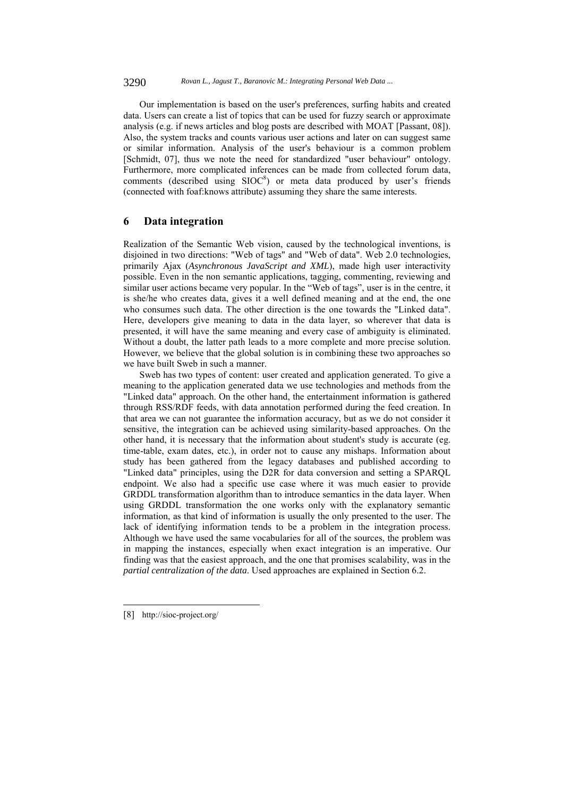Our implementation is based on the user's preferences, surfing habits and created data. Users can create a list of topics that can be used for fuzzy search or approximate analysis (e.g. if news articles and blog posts are described with MOAT [Passant, 08]). Also, the system tracks and counts various user actions and later on can suggest same or similar information. Analysis of the user's behaviour is a common problem [Schmidt, 07], thus we note the need for standardized "user behaviour" ontology. Furthermore, more complicated inferences can be made from collected forum data, comments (described using  $SIOC<sup>8</sup>$ ) or meta data produced by user's friends (connected with foaf:knows attribute) assuming they share the same interests.

### **6 Data integration**

Realization of the Semantic Web vision, caused by the technological inventions, is disjoined in two directions: "Web of tags" and "Web of data". Web 2.0 technologies, primarily Ajax (*Asynchronous JavaScript and XML*), made high user interactivity possible. Even in the non semantic applications, tagging, commenting, reviewing and similar user actions became very popular. In the "Web of tags", user is in the centre, it is she/he who creates data, gives it a well defined meaning and at the end, the one who consumes such data. The other direction is the one towards the "Linked data". Here, developers give meaning to data in the data layer, so wherever that data is presented, it will have the same meaning and every case of ambiguity is eliminated. Without a doubt, the latter path leads to a more complete and more precise solution. However, we believe that the global solution is in combining these two approaches so we have built Sweb in such a manner.

Sweb has two types of content: user created and application generated. To give a meaning to the application generated data we use technologies and methods from the "Linked data" approach. On the other hand, the entertainment information is gathered through RSS/RDF feeds, with data annotation performed during the feed creation. In that area we can not guarantee the information accuracy, but as we do not consider it sensitive, the integration can be achieved using similarity-based approaches. On the other hand, it is necessary that the information about student's study is accurate (eg. time-table, exam dates, etc.), in order not to cause any mishaps. Information about study has been gathered from the legacy databases and published according to "Linked data" principles, using the D2R for data conversion and setting a SPARQL endpoint. We also had a specific use case where it was much easier to provide GRDDL transformation algorithm than to introduce semantics in the data layer. When using GRDDL transformation the one works only with the explanatory semantic information, as that kind of information is usually the only presented to the user. The lack of identifying information tends to be a problem in the integration process. Although we have used the same vocabularies for all of the sources, the problem was in mapping the instances, especially when exact integration is an imperative. Our finding was that the easiest approach, and the one that promises scalability, was in the *partial centralization of the data*. Used approaches are explained in Section 6.2.

<sup>[8]</sup> http://sioc-project.org/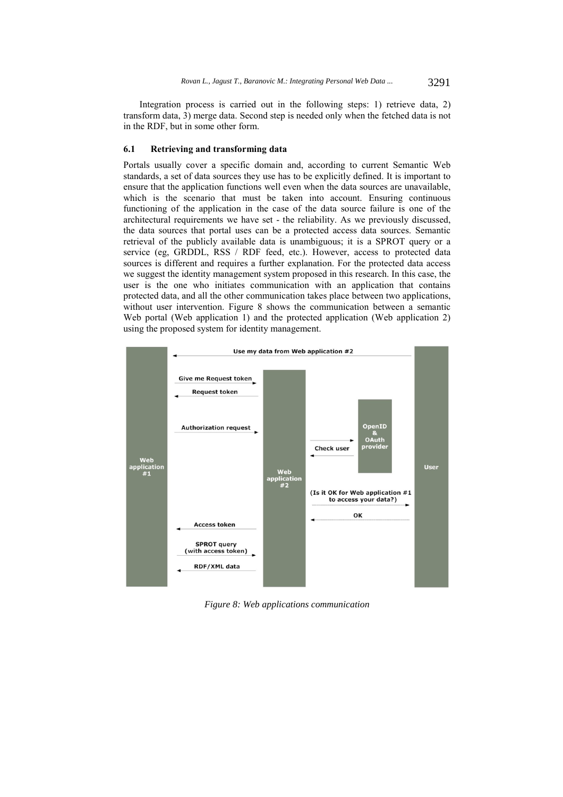Integration process is carried out in the following steps: 1) retrieve data, 2) transform data, 3) merge data. Second step is needed only when the fetched data is not in the RDF, but in some other form.

#### **6.1 Retrieving and transforming data**

Portals usually cover a specific domain and, according to current Semantic Web standards, a set of data sources they use has to be explicitly defined. It is important to ensure that the application functions well even when the data sources are unavailable, which is the scenario that must be taken into account. Ensuring continuous functioning of the application in the case of the data source failure is one of the architectural requirements we have set - the reliability. As we previously discussed, the data sources that portal uses can be a protected access data sources. Semantic retrieval of the publicly available data is unambiguous; it is a SPROT query or a service (eg, GRDDL, RSS / RDF feed, etc.). However, access to protected data sources is different and requires a further explanation. For the protected data access we suggest the identity management system proposed in this research. In this case, the user is the one who initiates communication with an application that contains protected data, and all the other communication takes place between two applications, without user intervention. Figure 8 shows the communication between a semantic Web portal (Web application 1) and the protected application (Web application 2) using the proposed system for identity management.



*Figure 8: Web applications communication*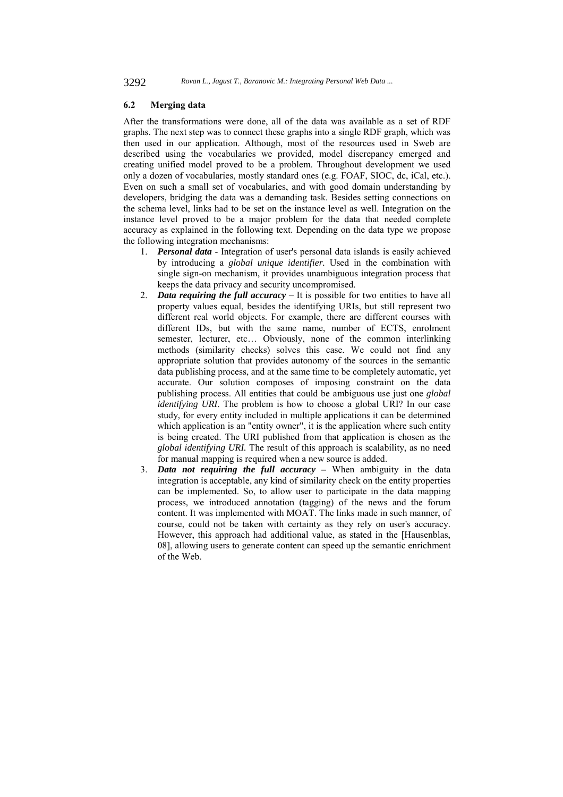#### **6.2 Merging data**

After the transformations were done, all of the data was available as a set of RDF graphs. The next step was to connect these graphs into a single RDF graph, which was then used in our application. Although, most of the resources used in Sweb are described using the vocabularies we provided, model discrepancy emerged and creating unified model proved to be a problem. Throughout development we used only a dozen of vocabularies, mostly standard ones (e.g. FOAF, SIOC, dc, iCal, etc.). Even on such a small set of vocabularies, and with good domain understanding by developers, bridging the data was a demanding task. Besides setting connections on the schema level, links had to be set on the instance level as well. Integration on the instance level proved to be a major problem for the data that needed complete accuracy as explained in the following text. Depending on the data type we propose the following integration mechanisms:

- 1. *Personal data* Integration of user's personal data islands is easily achieved by introducing a *global unique identifier.* Used in the combination with single sign-on mechanism, it provides unambiguous integration process that keeps the data privacy and security uncompromised.
- 2. *Data requiring the full accuracy*  It is possible for two entities to have all property values equal, besides the identifying URIs, but still represent two different real world objects. For example, there are different courses with different IDs, but with the same name, number of ECTS, enrolment semester, lecturer, etc… Obviously, none of the common interlinking methods (similarity checks) solves this case. We could not find any appropriate solution that provides autonomy of the sources in the semantic data publishing process, and at the same time to be completely automatic, yet accurate. Our solution composes of imposing constraint on the data publishing process. All entities that could be ambiguous use just one *global identifying URI*. The problem is how to choose a global URI? In our case study, for every entity included in multiple applications it can be determined which application is an "entity owner", it is the application where such entity is being created. The URI published from that application is chosen as the *global identifying URI.* The result of this approach is scalability, as no need for manual mapping is required when a new source is added.
- 3. *Data not requiring the full accuracy* When ambiguity in the data integration is acceptable, any kind of similarity check on the entity properties can be implemented. So, to allow user to participate in the data mapping process, we introduced annotation (tagging) of the news and the forum content. It was implemented with MOAT. The links made in such manner, of course, could not be taken with certainty as they rely on user's accuracy. However, this approach had additional value, as stated in the [Hausenblas, 08], allowing users to generate content can speed up the semantic enrichment of the Web.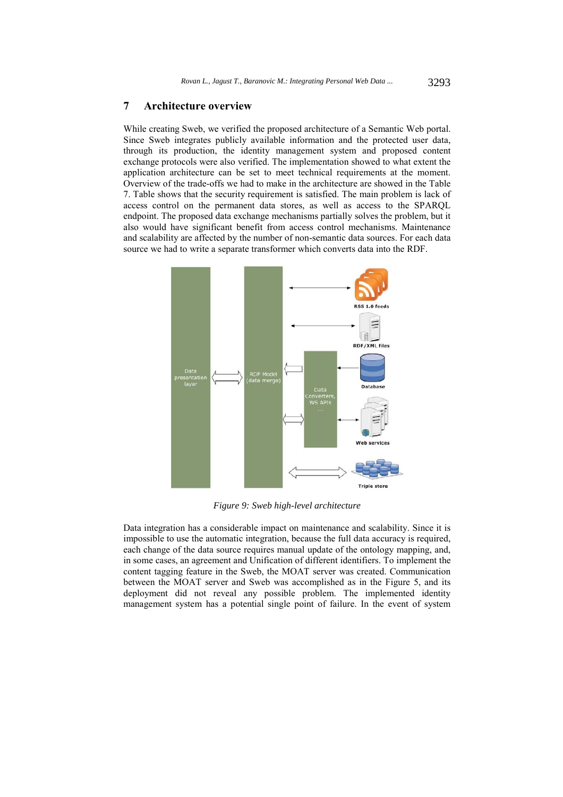### **7 Architecture overview**

While creating Sweb, we verified the proposed architecture of a Semantic Web portal. Since Sweb integrates publicly available information and the protected user data, through its production, the identity management system and proposed content exchange protocols were also verified. The implementation showed to what extent the application architecture can be set to meet technical requirements at the moment. Overview of the trade-offs we had to make in the architecture are showed in the Table 7. Table shows that the security requirement is satisfied. The main problem is lack of access control on the permanent data stores, as well as access to the SPARQL endpoint. The proposed data exchange mechanisms partially solves the problem, but it also would have significant benefit from access control mechanisms. Maintenance and scalability are affected by the number of non-semantic data sources. For each data source we had to write a separate transformer which converts data into the RDF.



*Figure 9: Sweb high-level architecture* 

Data integration has a considerable impact on maintenance and scalability. Since it is impossible to use the automatic integration, because the full data accuracy is required, each change of the data source requires manual update of the ontology mapping, and, in some cases, an agreement and Unification of different identifiers. To implement the content tagging feature in the Sweb, the MOAT server was created. Communication between the MOAT server and Sweb was accomplished as in the Figure 5, and its deployment did not reveal any possible problem. The implemented identity management system has a potential single point of failure. In the event of system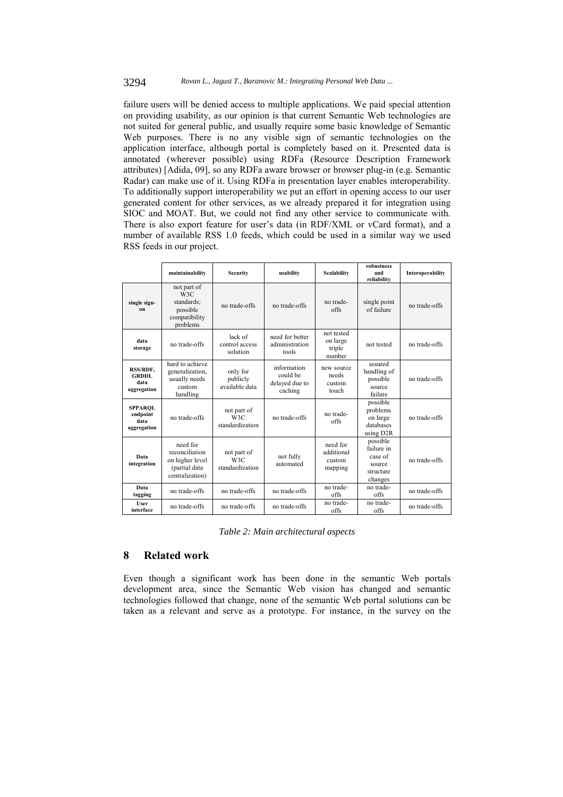failure users will be denied access to multiple applications. We paid special attention on providing usability, as our opinion is that current Semantic Web technologies are not suited for general public, and usually require some basic knowledge of Semantic Web purposes. There is no any visible sign of semantic technologies on the application interface, although portal is completely based on it. Presented data is annotated (wherever possible) using RDFa (Resource Description Framework attributes) [Adida, 09], so any RDFa aware browser or browser plug-in (e.g. Semantic Radar) can make use of it. Using RDFa in presentation layer enables interoperability. To additionally support interoperability we put an effort in opening access to our user generated content for other services, as we already prepared it for integration using SIOC and MOAT. But, we could not find any other service to communicate with. There is also export feature for user's data (in RDF/XML or vCard format), and a number of available RSS 1.0 feeds, which could be used in a similar way we used RSS feeds in our project.

|                                                   | maintainability                                                                   | <b>Security</b>                        | usability                                            | Scalability                                 | robustness<br>and<br>reliability                                        | Interoperability |
|---------------------------------------------------|-----------------------------------------------------------------------------------|----------------------------------------|------------------------------------------------------|---------------------------------------------|-------------------------------------------------------------------------|------------------|
| single sign-<br><sub>on</sub>                     | not part of<br>W3C<br>standards:<br>possible<br>compatibility<br>problems         | no trade-offs                          | no trade-offs                                        | no trade-<br>offs                           | single point<br>of failure                                              | no trade-offs    |
| data<br>storage                                   | no trade-offs                                                                     | lack of<br>control access<br>solution  | need for better<br>administration<br>tools           | not tested<br>on large<br>triple<br>number  | not tested                                                              | no trade-offs    |
| RSS/RDF,<br><b>GRDDL</b><br>data<br>aggregation   | hard to achieve<br>generalization,<br>usually needs<br>custom<br>handling         | only for<br>publicly<br>available data | information<br>could be<br>delayed due to<br>caching | new source<br>needs<br>custom<br>touch      | assured<br>handling of<br>possible<br>source<br>failure                 | no trade-offs    |
| <b>SPPAROL</b><br>endpoint<br>data<br>aggregation | no trade-offs                                                                     | not part of<br>W3C<br>standardization  | no trade-offs                                        | no trade-<br>offs                           | possible<br>problems<br>on large<br>databases<br>using D <sub>2</sub> R | no trade-offs    |
| Data<br>integration                               | need for<br>reconciliation<br>on higher level<br>(partial data<br>centralization) | not part of<br>W3C<br>standardization  | not fully<br>automated                               | need for<br>additional<br>custom<br>mapping | possible<br>failure in<br>case of<br>source<br>structure<br>changes     | no trade-offs    |
| Data<br>tagging                                   | no trade-offs                                                                     | no trade-offs                          | no trade-offs                                        | no trade-<br>offs                           | no trade-<br>offs                                                       | no trade-offs    |
| User<br>interface                                 | no trade-offs                                                                     | no trade-offs                          | no trade-offs                                        | no trade-<br>offs                           | no trade-<br>offs                                                       | no trade-offs    |

*Table 2: Main architectural aspects* 

### **8 Related work**

Even though a significant work has been done in the semantic Web portals development area, since the Semantic Web vision has changed and semantic technologies followed that change, none of the semantic Web portal solutions can be taken as a relevant and serve as a prototype. For instance, in the survey on the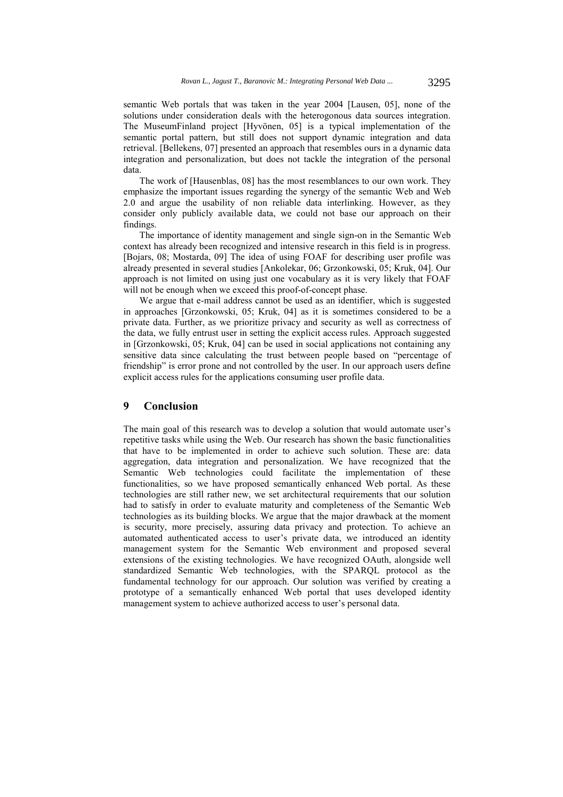semantic Web portals that was taken in the year 2004 [Lausen, 05], none of the solutions under consideration deals with the heterogonous data sources integration. The MuseumFinland project [Hyvönen, 05] is a typical implementation of the semantic portal pattern, but still does not support dynamic integration and data retrieval. [Bellekens, 07] presented an approach that resembles ours in a dynamic data integration and personalization, but does not tackle the integration of the personal data.

The work of [Hausenblas, 08] has the most resemblances to our own work. They emphasize the important issues regarding the synergy of the semantic Web and Web 2.0 and argue the usability of non reliable data interlinking. However, as they consider only publicly available data, we could not base our approach on their findings.

The importance of identity management and single sign-on in the Semantic Web context has already been recognized and intensive research in this field is in progress. [Bojars, 08; Mostarda, 09] The idea of using FOAF for describing user profile was already presented in several studies [Ankolekar, 06; Grzonkowski, 05; Kruk, 04]. Our approach is not limited on using just one vocabulary as it is very likely that FOAF will not be enough when we exceed this proof-of-concept phase.

We argue that e-mail address cannot be used as an identifier, which is suggested in approaches [Grzonkowski, 05; Kruk, 04] as it is sometimes considered to be a private data. Further, as we prioritize privacy and security as well as correctness of the data, we fully entrust user in setting the explicit access rules. Approach suggested in [Grzonkowski, 05; Kruk, 04] can be used in social applications not containing any sensitive data since calculating the trust between people based on "percentage of friendship" is error prone and not controlled by the user. In our approach users define explicit access rules for the applications consuming user profile data.

# **9 Conclusion**

The main goal of this research was to develop a solution that would automate user's repetitive tasks while using the Web. Our research has shown the basic functionalities that have to be implemented in order to achieve such solution. These are: data aggregation, data integration and personalization. We have recognized that the Semantic Web technologies could facilitate the implementation of these functionalities, so we have proposed semantically enhanced Web portal. As these technologies are still rather new, we set architectural requirements that our solution had to satisfy in order to evaluate maturity and completeness of the Semantic Web technologies as its building blocks. We argue that the major drawback at the moment is security, more precisely, assuring data privacy and protection. To achieve an automated authenticated access to user's private data, we introduced an identity management system for the Semantic Web environment and proposed several extensions of the existing technologies. We have recognized OAuth, alongside well standardized Semantic Web technologies, with the SPARQL protocol as the fundamental technology for our approach. Our solution was verified by creating a prototype of a semantically enhanced Web portal that uses developed identity management system to achieve authorized access to user's personal data.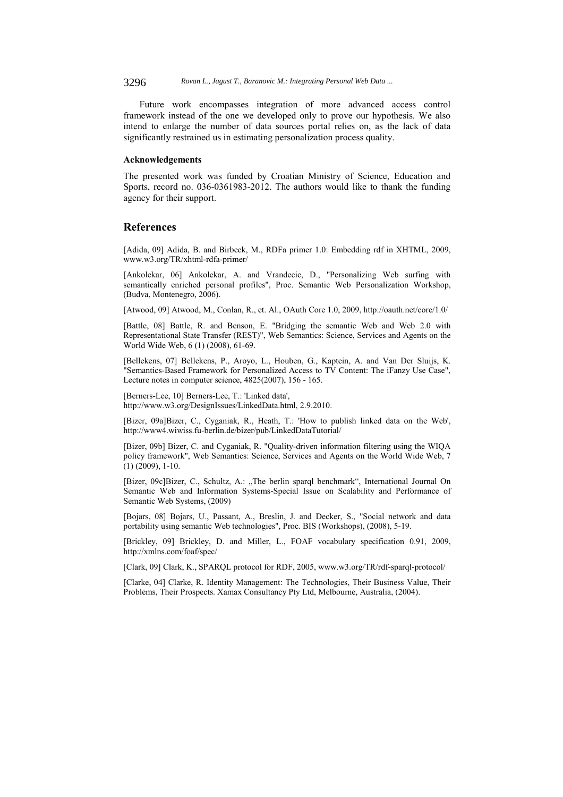3296 *Rovan L., Jagust T., Baranovic M.: Integrating Personal Web Data ...*

Future work encompasses integration of more advanced access control framework instead of the one we developed only to prove our hypothesis. We also intend to enlarge the number of data sources portal relies on, as the lack of data significantly restrained us in estimating personalization process quality.

#### **Acknowledgements**

The presented work was funded by Croatian Ministry of Science, Education and Sports, record no. 036-0361983-2012. The authors would like to thank the funding agency for their support.

# **References**

[Adida, 09] Adida, B. and Birbeck, M., RDFa primer 1.0: Embedding rdf in XHTML, 2009, www.w3.org/TR/xhtml-rdfa-primer/

[Ankolekar, 06] Ankolekar, A. and Vrandecic, D., "Personalizing Web surfing with semantically enriched personal profiles", Proc. Semantic Web Personalization Workshop, (Budva, Montenegro, 2006).

[Atwood, 09] Atwood, M., Conlan, R., et. Al., OAuth Core 1.0, 2009, http://oauth.net/core/1.0/

[Battle, 08] Battle, R. and Benson, E. "Bridging the semantic Web and Web 2.0 with Representational State Transfer (REST)", Web Semantics: Science, Services and Agents on the World Wide Web, 6 (1) (2008), 61-69.

[Bellekens, 07] Bellekens, P., Aroyo, L., Houben, G., Kaptein, A. and Van Der Sluijs, K. "Semantics-Based Framework for Personalized Access to TV Content: The iFanzy Use Case", Lecture notes in computer science, 4825(2007), 156 - 165.

[Berners-Lee, 10] Berners-Lee, T.: 'Linked data', http://www.w3.org/DesignIssues/LinkedData.html, 2.9.2010.

[Bizer, 09a]Bizer, C., Cyganiak, R., Heath, T.: 'How to publish linked data on the Web', http://www4.wiwiss.fu-berlin.de/bizer/pub/LinkedDataTutorial/

[Bizer, 09b] Bizer, C. and Cyganiak, R. "Quality-driven information filtering using the WIQA policy framework", Web Semantics: Science, Services and Agents on the World Wide Web, 7 (1) (2009), 1-10.

[Bizer, 09c]Bizer, C., Schultz, A.: "The berlin sparql benchmark", International Journal On Semantic Web and Information Systems-Special Issue on Scalability and Performance of Semantic Web Systems, (2009)

[Bojars, 08] Bojars, U., Passant, A., Breslin, J. and Decker, S., "Social network and data portability using semantic Web technologies", Proc. BIS (Workshops), (2008), 5-19.

[Brickley, 09] Brickley, D. and Miller, L., FOAF vocabulary specification 0.91, 2009, http://xmlns.com/foaf/spec/

[Clark, 09] Clark, K., SPARQL protocol for RDF, 2005, www.w3.org/TR/rdf-sparql-protocol/

[Clarke, 04] Clarke, R. Identity Management: The Technologies, Their Business Value, Their Problems, Their Prospects. Xamax Consultancy Pty Ltd, Melbourne, Australia, (2004).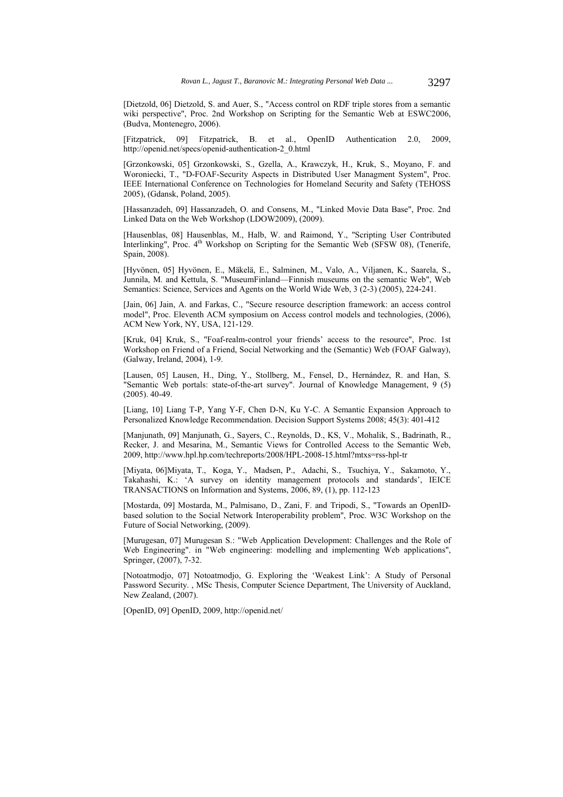[Dietzold, 06] Dietzold, S. and Auer, S., "Access control on RDF triple stores from a semantic wiki perspective", Proc. 2nd Workshop on Scripting for the Semantic Web at ESWC2006, (Budva, Montenegro, 2006).

[Fitzpatrick, 09] Fitzpatrick, B. et al., OpenID Authentication 2.0, 2009, http://openid.net/specs/openid-authentication-2\_0.html

[Grzonkowski, 05] Grzonkowski, S., Gzella, A., Krawczyk, H., Kruk, S., Moyano, F. and Woroniecki, T., "D-FOAF-Security Aspects in Distributed User Managment System", Proc. IEEE International Conference on Technologies for Homeland Security and Safety (TEHOSS 2005), (Gdansk, Poland, 2005).

[Hassanzadeh, 09] Hassanzadeh, O. and Consens, M., "Linked Movie Data Base", Proc. 2nd Linked Data on the Web Workshop (LDOW2009), (2009).

[Hausenblas, 08] Hausenblas, M., Halb, W. and Raimond, Y., "Scripting User Contributed Interlinking", Proc.  $4<sup>th</sup>$  Workshop on Scripting for the Semantic Web (SFSW 08), (Tenerife, Spain, 2008).

[Hyvönen, 05] Hyvönen, E., Mäkelä, E., Salminen, M., Valo, A., Viljanen, K., Saarela, S., Junnila, M. and Kettula, S. "MuseumFinland—Finnish museums on the semantic Web", Web Semantics: Science, Services and Agents on the World Wide Web, 3 (2-3) (2005), 224-241.

[Jain, 06] Jain, A. and Farkas, C., "Secure resource description framework: an access control model", Proc. Eleventh ACM symposium on Access control models and technologies, (2006), ACM New York, NY, USA, 121-129.

[Kruk, 04] Kruk, S., "Foaf-realm-control your friends' access to the resource", Proc. 1st Workshop on Friend of a Friend, Social Networking and the (Semantic) Web (FOAF Galway), (Galway, Ireland, 2004), 1-9.

[Lausen, 05] Lausen, H., Ding, Y., Stollberg, M., Fensel, D., Hernández, R. and Han, S. "Semantic Web portals: state-of-the-art survey". Journal of Knowledge Management, 9 (5) (2005). 40-49.

[Liang, 10] Liang T-P, Yang Y-F, Chen D-N, Ku Y-C. A Semantic Expansion Approach to Personalized Knowledge Recommendation. Decision Support Systems 2008; 45(3): 401-412

[Manjunath, 09] Manjunath, G., Sayers, C., Reynolds, D., KS, V., Mohalik, S., Badrinath, R., Recker, J. and Mesarina, M., Semantic Views for Controlled Access to the Semantic Web, 2009, http://www.hpl.hp.com/techreports/2008/HPL-2008-15.html?mtxs=rss-hpl-tr

[Miyata, 06]Miyata, T., Koga, Y., Madsen, P., Adachi, S., Tsuchiya, Y., Sakamoto, Y., Takahashi, K.: 'A survey on identity management protocols and standards', IEICE TRANSACTIONS on Information and Systems, 2006, 89, (1), pp. 112-123

[Mostarda, 09] Mostarda, M., Palmisano, D., Zani, F. and Tripodi, S., "Towards an OpenIDbased solution to the Social Network Interoperability problem", Proc. W3C Workshop on the Future of Social Networking, (2009).

[Murugesan, 07] Murugesan S.: "Web Application Development: Challenges and the Role of Web Engineering". in "Web engineering: modelling and implementing Web applications", Springer, (2007), 7-32.

[Notoatmodjo, 07] Notoatmodjo, G. Exploring the 'Weakest Link': A Study of Personal Password Security. , MSc Thesis, Computer Science Department, The University of Auckland, New Zealand, (2007).

[OpenID, 09] OpenID, 2009, http://openid.net/